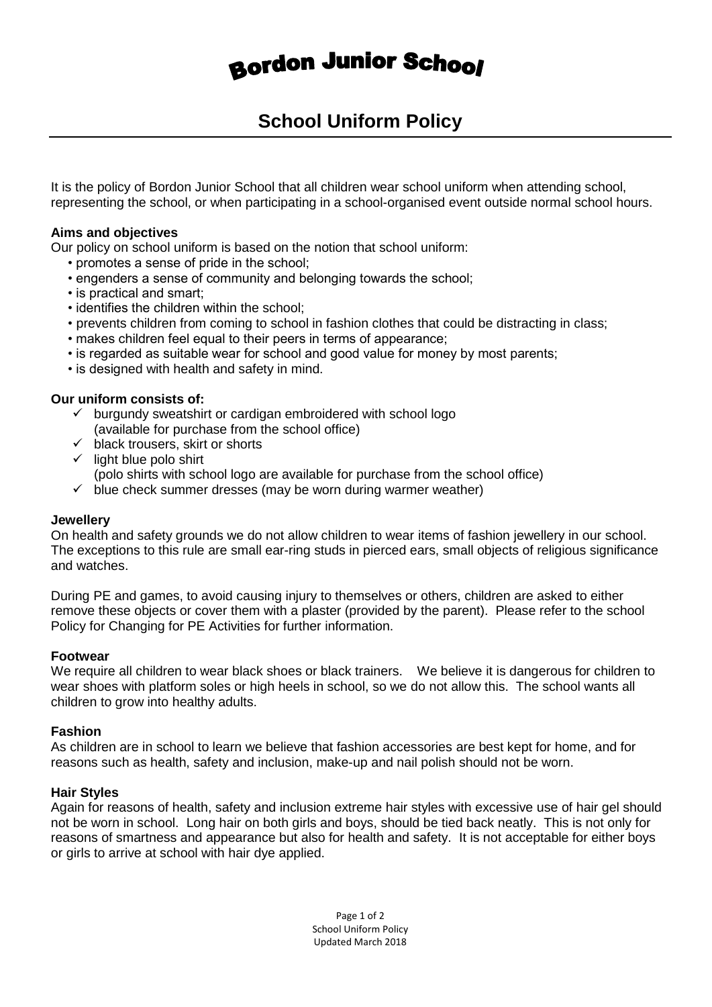# **Bordon Junior School**

# **School Uniform Policy**

It is the policy of Bordon Junior School that all children wear school uniform when attending school, representing the school, or when participating in a school-organised event outside normal school hours.

#### **Aims and objectives**

Our policy on school uniform is based on the notion that school uniform:

- promotes a sense of pride in the school;
- engenders a sense of community and belonging towards the school;
- is practical and smart;
- identifies the children within the school;
- prevents children from coming to school in fashion clothes that could be distracting in class;
- makes children feel equal to their peers in terms of appearance;
- is regarded as suitable wear for school and good value for money by most parents;
- is designed with health and safety in mind.

#### **Our uniform consists of:**

- $\checkmark$  burgundy sweatshirt or cardigan embroidered with school logo (available for purchase from the school office)
- $\checkmark$  black trousers, skirt or shorts
- $\checkmark$  light blue polo shirt (polo shirts with school logo are available for purchase from the school office)
- $\checkmark$  blue check summer dresses (may be worn during warmer weather)

#### **Jewellery**

On health and safety grounds we do not allow children to wear items of fashion jewellery in our school. The exceptions to this rule are small ear-ring studs in pierced ears, small objects of religious significance and watches.

During PE and games, to avoid causing injury to themselves or others, children are asked to either remove these objects or cover them with a plaster (provided by the parent). Please refer to the school Policy for Changing for PE Activities for further information.

#### **Footwear**

We require all children to wear black shoes or black trainers. We believe it is dangerous for children to wear shoes with platform soles or high heels in school, so we do not allow this. The school wants all children to grow into healthy adults.

#### **Fashion**

As children are in school to learn we believe that fashion accessories are best kept for home, and for reasons such as health, safety and inclusion, make-up and nail polish should not be worn.

#### **Hair Styles**

Again for reasons of health, safety and inclusion extreme hair styles with excessive use of hair gel should not be worn in school. Long hair on both girls and boys, should be tied back neatly. This is not only for reasons of smartness and appearance but also for health and safety. It is not acceptable for either boys or girls to arrive at school with hair dye applied.

> Page 1 of 2 School Uniform Policy Updated March 2018